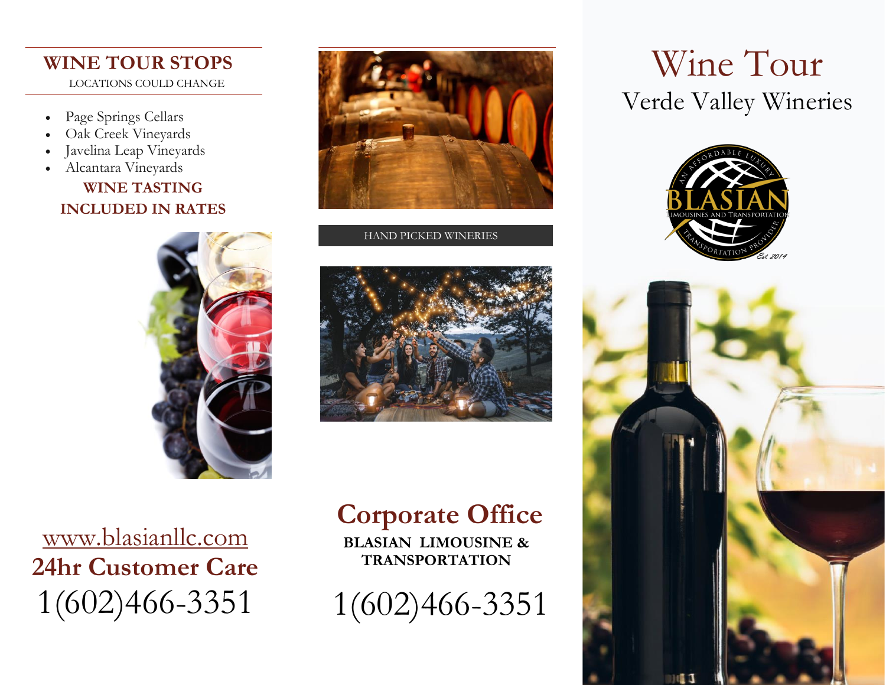### **WINE TOUR STOPS** LOCATIONS COULD CHANGE

- Page Springs Cellars
- Oak Creek Vineyards
- Javelina Leap Vineyards
- Alcantara Vineyards

### **WINE TASTING INCLUDED IN RATES**





#### HAND PICKED WINERIES



[www.blasianllc.com](http://www.blasianllc.com/) **24hr Customer Care** 1(602)466-3351

# **Corporate Office**

**BLASIAN LIMOUSINE & TRANSPORTATION**

1(602)466-3351

# Wine Tour Verde Valley Wineries Wine Tour